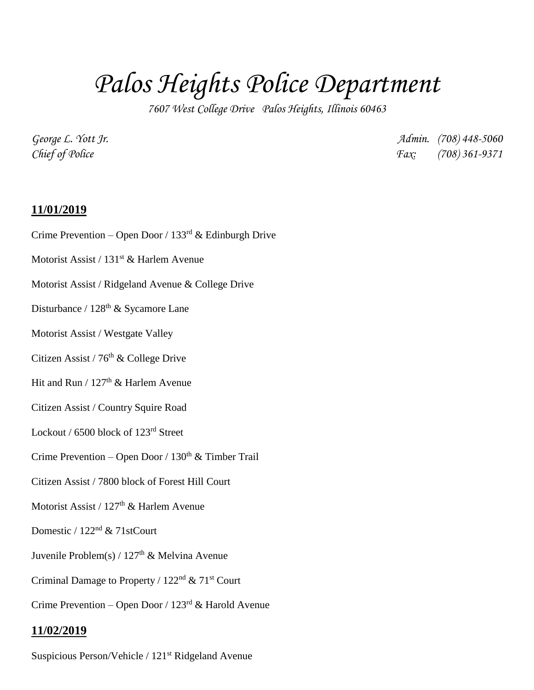## *Palos Heights Police Department*

*7607 West College Drive Palos Heights, Illinois 60463*

*George L. Yott Jr. Admin. (708) 448-5060 Chief of Police Fax: (708) 361-9371*

## **11/01/2019**

- Crime Prevention Open Door / 133rd & Edinburgh Drive
- Motorist Assist / 131<sup>st</sup> & Harlem Avenue
- Motorist Assist / Ridgeland Avenue & College Drive
- Disturbance / 128<sup>th</sup> & Sycamore Lane
- Motorist Assist / Westgate Valley
- Citizen Assist / 76<sup>th</sup> & College Drive
- Hit and Run /  $127<sup>th</sup>$  & Harlem Avenue
- Citizen Assist / Country Squire Road
- Lockout / 6500 block of 123rd Street
- Crime Prevention Open Door /  $130<sup>th</sup>$  & Timber Trail
- Citizen Assist / 7800 block of Forest Hill Court
- Motorist Assist / 127<sup>th</sup> & Harlem Avenue
- Domestic / 122nd & 71stCourt
- Juvenile Problem(s) /  $127<sup>th</sup>$  & Melvina Avenue
- Criminal Damage to Property / 122nd & 71st Court
- Crime Prevention Open Door /  $123<sup>rd</sup>$  & Harold Avenue

## **11/02/2019**

Suspicious Person/Vehicle / 121st Ridgeland Avenue